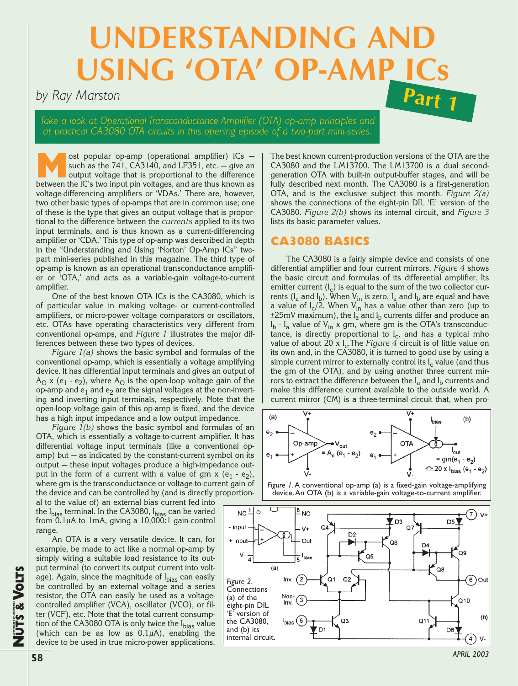# **UNDERSTANDING AN USING 'OTA' OP-**

# *by Ray Marston*

*Take a look at Operational Transconductance Amplifier (OTA) op-amp principles and at practical CA3080 OTA circuits in this opening episode of a two-part mini-series.*

ost popular op-amp (operational amplifier) ICs —<br>such as the 741, CA3140, and LF351, etc. — give an<br>output voltage that is proportional to the difference<br>hetween the IC's two input pin voltages and are thus known as such as the 741, CA3140, and LF351, etc.  $-$  give an between the IC's two input pin voltages, and are thus known as voltage-differencing amplifiers or 'VDAs.' There are, however, two other basic types of op-amps that are in common use; one of these is the type that gives an output voltage that is proportional to the difference between the *currents* applied to its two input terminals, and is thus known as a current-differencing amplifier or 'CDA.' This type of op-amp was described in depth in the "Understanding and Using 'Norton' Op-Amp ICs" twopart mini-series published in this magazine. The third type of op-amp is known as an operational transconductance amplifier or 'OTA,' and acts as a variable-gain voltage-to-current amplifier.

One of the best known OTA ICs is the CA3080, which is of particular value in making voltage- or current-controlled amplifiers, or micro-power voltage comparators or oscillators, etc. OTAs have operating characteristics very different from conventional op-amps, and *Figure 1* illustrates the major differences between these two types of devices.

*Figure 1(a)* shows the basic symbol and formulas of the conventional op-amp, which is essentially a voltage amplifying device. It has differential input terminals and gives an output of  $A_{\Omega}$  x (e<sub>1</sub> - e<sub>2</sub>), where  $A_{\Omega}$  is the open-loop voltage gain of the op-amp and  $e_1$  and  $e_2$  are the signal voltages at the non-inverting and inverting input terminals, respectively. Note that the open-loop voltage gain of this op-amp is fixed, and the device has a high input impedance and a low output impedance.

*Figure 1(b)* shows the basic symbol and formulas of an OTA, which is essentially a voltage-to-current amplifier. It has differential voltage input terminals (like a conventional opamp) but — as indicated by the constant-current symbol on its output — these input voltages produce a high-impedance output in the form of a current with a value of gm x  $(e_1 - e_2)$ , where gm is the transconductance or voltage-to-current gain of the device and can be controlled by (and is directly proportion-

al to the value of) an external bias current fed into the I<sub>bias</sub> terminal. In the CA3080, I<sub>bias</sub> can be varied from 0.1µA to 1mA, giving a 10,000:1 gain-control range.

An OTA is a very versatile device. It can, for example, be made to act like a normal op-amp by simply wiring a suitable load resistance to its output terminal (to convert its output current into voltage). Again, since the magnitude of  $I_{bias}$  can easily be controlled by an external voltage and a series resistor, the OTA can easily be used as a voltagecontrolled amplifier (VCA), oscillator (VCO), or filter (VCF), etc. Note that the total current consumption of the CA3080 OTA is only twice the I<sub>bias</sub> value (which can be as low as 0.1µA), enabling the device to be used in true micro-power applications.

The best known current-production versions of the OTA are the CA3080 and the LM13700. The LM13700 is a dual secondgeneration OTA with built-in output-buffer stages, and will be fully described next month. The CA3080 is a first-generation OTA, and is the exclusive subject this month. *Figure 2(a)* shows the connections of the eight-pin DIL 'E' version of the CA3080. *Figure 2(b)* shows its internal circuit, and *Figure 3* lists its basic parameter values.

**Part 1**

# **CA3080 BASICS**

The CA3080 is a fairly simple device and consists of one differential amplifier and four current mirrors. *Figure 4* shows the basic circuit and formulas of its differential amplifier. Its emitter current  $(I_c)$  is equal to the sum of the two collector currents ( $I_a$  and  $I_b$ ). When  $V_{in}$  is zero,  $I_a$  and  $I_b$  are equal and have a value of  $I_c/2$ . When  $V_{in}$  has a value other than zero (up to  $\pm 25$ mV maximum), the  $I_a$  and  $I_b$  currents differ and produce an  $I_b$  -  $I_a$  value of  $V_{in}$  x gm, where gm is the OTA's transconductance, is directly proportional to  $I_c$ , and has a typical mho value of about 20 x I<sub>c</sub>.The *Figure 4* circuit is of little value on its own and, in the CA3080, it is turned to good use by using a simple current mirror to externally control its  $I_c$  value (and thus the gm of the OTA), and by using another three current mirrors to extract the difference between the  $I_a$  and  $I_b$  currents and make this difference current available to the outside world. A current mirror (CM) is a three-terminal circuit that, when pro-





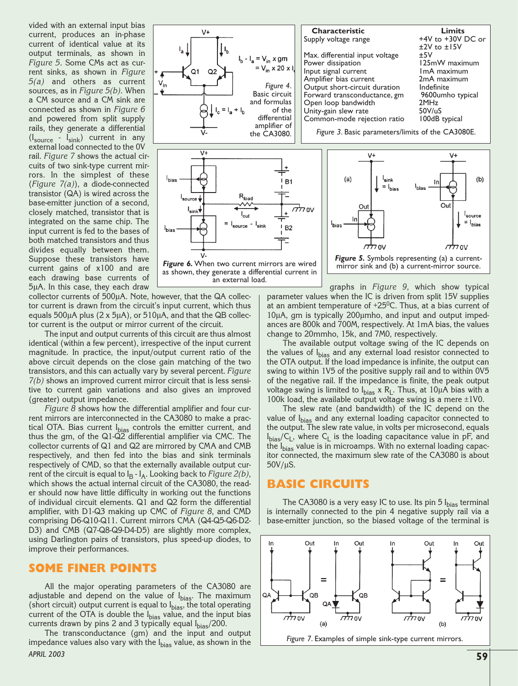vided with an external input bias current, produces an in-phase current of identical value at its output terminals, as shown in *Figure 5*. Some CMs act as current sinks, as shown in *Figure 5(a)* and others as current sources, as in *Figure 5(b)*. When a CM source and a CM sink are connected as shown in *Figure 6* and powered from split supply rails, they generate a differential  $(I_{\text{source}} - I_{\text{sink}})$  current in any external load connected to the 0V rail. *Figure 7* shows the actual circuits of two sink-type current mirrors. In the simplest of these (*Figure 7(a)*), a diode-connected transistor (QA) is wired across the base-emitter junction of a second, closely matched, transistor that is integrated on the same chip. The input current is fed to the bases of both matched transistors and thus divides equally between them. Suppose these transistors have current gains of x100 and are each drawing base currents of 5µA. In this case, they each draw

collector currents of 500µA. Note, however, that the QA collector current is drawn from the circuit's input current, which thus equals 500µA plus (2 x 5µA), or 510µA, and that the QB collector current is the output or mirror current of the circuit.

The input and output currents of this circuit are thus almost identical (within a few percent), irrespective of the input current magnitude. In practice, the input/output current ratio of the above circuit depends on the close gain matching of the two transistors, and this can actually vary by several percent. *Figure 7(b)* shows an improved current mirror circuit that is less sensitive to current gain variations and also gives an improved (greater) output impedance.

*Figure 8* shows how the differential amplifier and four current mirrors are interconnected in the CA3080 to make a practical OTA. Bias current I<sub>bias</sub> controls the emitter current, and thus the gm, of the Q1-Q2 differential amplifier via CMC. The collector currents of Q1 and Q2 are mirrored by CMA and CMB respectively, and then fed into the bias and sink terminals respectively of CMD, so that the externally available output current of the circuit is equal to  $I_B - I_A$ . Looking back to *Figure 2(b)*, which shows the actual internal circuit of the CA3080, the reader should now have little difficulty in working out the functions of individual circuit elements. Q1 and Q2 form the differential amplifier, with D1-Q3 making up CMC of *Figure 8*, and CMD comprising D6-Q10-Q11. Current mirrors CMA (Q4-Q5-Q6-D2- D3) and CMB (Q7-Q8-Q9-D4-D5) are slightly more complex, using Darlington pairs of transistors, plus speed-up diodes, to improve their performances.

#### **SOME FINER POINTS**

All the major operating parameters of the CA3080 are adjustable and depend on the value of I<sub>bias</sub>. The maximum (short circuit) output current is equal to  $I_{bias}$ , the total operating current of the OTA is double the I<sub>bias</sub> value, and the input bias currents drawn by pins 2 and 3 typically equal Ibias/200.

The transconductance (gm) and the input and output impedance values also vary with the I<sub>bias</sub> value, as shown in the **59** *APRIL 2003*



 $(a)$ 

'bias

Οu



Figure 6. When two current mirrors are wired as shown, they generate a differential current in an external load.

graphs in *Figure 9*, which show typical parameter values when the IC is driven from split 15V supplies at an ambient temperature of  $+25^{\circ}$ C. Thus, at a bias current of 10µA, gm is typically 200µmho, and input and output impedances are 800k and 700M, respectively. At 1mA bias, the values change to 20mmho, 15k, and 7M0, respectively. **Figure 5.** Symbols representing (a) a current-<br>mirror sink and (b) a current-mirror source.

The available output voltage swing of the IC depends on the values of I<sub>bias</sub> and any external load resistor connected to the OTA output. If the load impedance is infinite, the output can swing to within 1V5 of the positive supply rail and to within 0V5 of the negative rail. If the impedance is finite, the peak output voltage swing is limited to I<sub>bias</sub> x R<sub>L</sub>. Thus, at 10µA bias with a 100k load, the available output voltage swing is a mere  $\pm 1$ V0.

The slew rate (and bandwidth) of the IC depend on the value of I<sub>bias</sub> and any external loading capacitor connected to the output. The slew rate value, in volts per microsecond, equals  $I_{bias}/C_L$ , where  $C_L$  is the loading capacitance value in pF, and the I<sub>bias</sub> value is in microamps. With no external loading capacitor connected, the maximum slew rate of the CA3080 is about 50V/µS.

## **BASIC CIRCUITS**

The CA3080 is a very easy IC to use. Its pin 5  $I_{bias}$  terminal is internally connected to the pin 4 negative supply rail via a base-emitter junction, so the biased voltage of the terminal is



 $(b)$ 

l<sub>source</sub>  $= |$ <sub>bias</sub>

Ou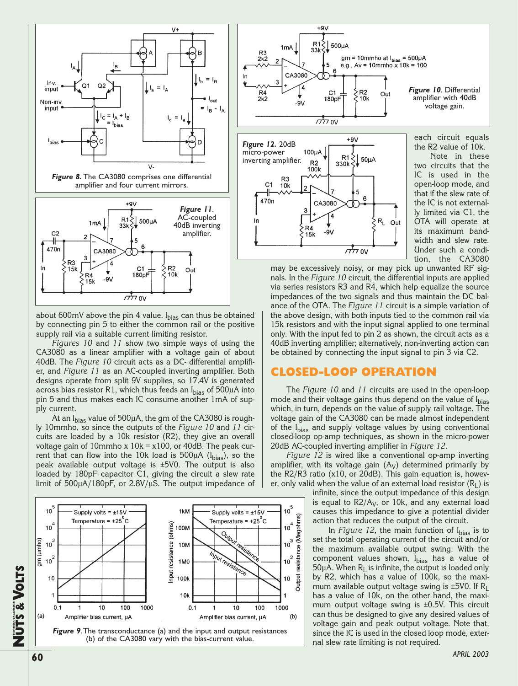

about 600mV above the pin 4 value.  $I_{bias}$  can thus be obtained by connecting pin 5 to either the common rail or the positive supply rail via a suitable current limiting resistor.

*Figures 10* and *11* show two simple ways of using the CA3080 as a linear amplifier with a voltage gain of about 40dB. The *Figure 10* circuit acts as a DC- differential amplifier, and *Figure 11* as an AC-coupled inverting amplifier. Both designs operate from split 9V supplies, so 17.4V is generated across bias resistor R1, which thus feeds an  $I_{bias}$  of 500µA into pin 5 and thus makes each IC consume another 1mA of supply current.

At an I<sub>bias</sub> value of 500µA, the gm of the CA3080 is roughly 10mmho, so since the outputs of the *Figure 10* and *11* circuits are loaded by a 10k resistor (R2), they give an overall voltage gain of 10mmho x 10k = x100, or 40dB. The peak current that can flow into the 10k load is  $500\mu A$  ( $I_{bias}$ ), so the peak available output voltage is ±5V0. The output is also loaded by 180pF capacitor C1, giving the circuit a slew rate limit of 500µA/180pF, or 2.8V/µS. The output impedance of





may be excessively noisy, or may pick up unwanted RF signals. In the *Figure 10* circuit, the differential inputs are applied via series resistors R3 and R4, which help equalize the source impedances of the two signals and thus maintain the DC balance of the OTA. The *Figure 11* circuit is a simple variation of the above design, with both inputs tied to the common rail via 15k resistors and with the input signal applied to one terminal only. With the input fed to pin 2 as shown, the circuit acts as a 40dB inverting amplifier; alternatively, non-inverting action can be obtained by connecting the input signal to pin 3 via C2.

# **CLOSED-LOOP OPERATION**

The *Figure 10* and *11* circuits are used in the open-loop mode and their voltage gains thus depend on the value of Ibias which, in turn, depends on the value of supply rail voltage. The voltage gain of the CA3080 can be made almost independent of the I<sub>bias</sub> and supply voltage values by using conventional closed-loop op-amp techniques, as shown in the micro-power 20dB AC-coupled inverting amplifier in *Figure 12*.

*Figure 12* is wired like a conventional op-amp inverting amplifier, with its voltage gain  $(A_V)$  determined primarily by the R2/R3 ratio (x10, or 20dB). This gain equation is, however, only valid when the value of an external load resistor  $(R<sub>1</sub>)$  is

> infinite, since the output impedance of this design is equal to  $R2/A<sub>V</sub>$ , or 10k, and any external load causes this impedance to give a potential divider action that reduces the output of the circuit.

> In *Figure 12*, the main function of  $I_{bias}$  is to set the total operating current of the circuit and/or the maximum available output swing. With the component values shown, I<sub>bias</sub> has a value of 50 $\mu$ A. When  $R_I$  is infinite, the output is loaded only by R2, which has a value of 100k, so the maximum available output voltage swing is  $\pm$ 5V0. If R<sub>L</sub> has a value of 10k, on the other hand, the maximum output voltage swing is ±0.5V. This circuit can thus be designed to give any desired values of voltage gain and peak output voltage. Note that, since the IC is used in the closed loop mode, external slew rate limiting is not required.

**NUTS &**

**Everything For Electronics**

**VOLTS**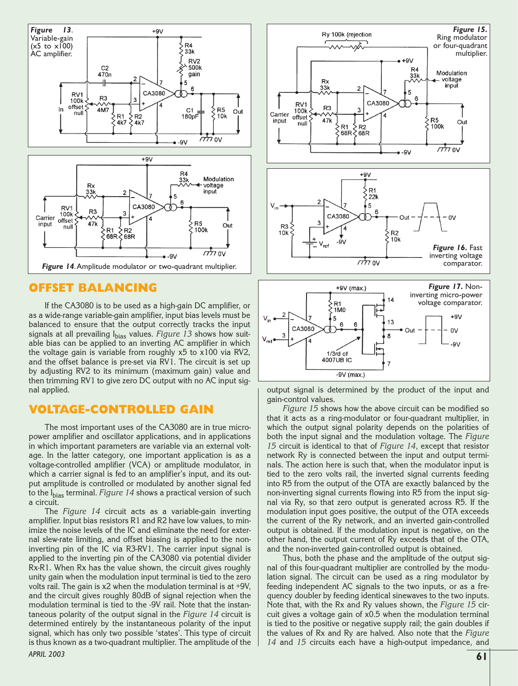

# **OFFSET BALANCING**

If the CA3080 is to be used as a high-gain DC amplifier, or as a wide-range variable-gain amplifier, input bias levels must be balanced to ensure that the output correctly tracks the input signals at all prevailing I<sub>bias</sub> values. Figure 13 shows how suitable bias can be applied to an inverting AC amplifier in which the voltage gain is variable from roughly x5 to x100 via RV2, and the offset balance is pre-set via RV1. The circuit is set up by adjusting RV2 to its minimum (maximum gain) value and then trimming RV1 to give zero DC output with no AC input signal applied.

## **VOLTAGE-CONTROLLED GAIN**

The most important uses of the CA3080 are in true micropower amplifier and oscillator applications, and in applications in which important parameters are variable via an external voltage. In the latter category, one important application is as a voltage-controlled amplifier (VCA) or amplitude modulator, in which a carrier signal is fed to an amplifier's input, and its output amplitude is controlled or modulated by another signal fed to the I<sub>bias</sub> terminal. *Figure 14* shows a practical version of such a circuit.

The *Figure 14* circuit acts as a variable-gain inverting amplifier. Input bias resistors R1 and R2 have low values, to minimize the noise levels of the IC and eliminate the need for external slew-rate limiting, and offset biasing is applied to the noninverting pin of the IC via R3-RV1. The carrier input signal is applied to the inverting pin of the CA3080 via potential divider Rx-R1. When Rx has the value shown, the circuit gives roughly unity gain when the modulation input terminal is tied to the zero volts rail. The gain is x2 when the modulation terminal is at +9V, and the circuit gives roughly 80dB of signal rejection when the modulation terminal is tied to the -9V rail. Note that the instantaneous polarity of the output signal in the *Figure 14* circuit is determined entirely by the instantaneous polarity of the input signal, which has only two possible 'states'. This type of circuit is thus known as a two-quadrant multiplier. The amplitude of the **61** *APRIL 2003*



 $-9V$  (max.)

output signal is determined by the product of the input and gain-control values.

*Figure 15* shows how the above circuit can be modified so that it acts as a ring-modulator or four-quadrant multiplier, in which the output signal polarity depends on the polarities of both the input signal and the modulation voltage. The *Figure 15* circuit is identical to that of *Figure 14*, except that resistor network Ry is connected between the input and output terminals. The action here is such that, when the modulator input is tied to the zero volts rail, the inverted signal currents feeding into R5 from the output of the OTA are exactly balanced by the non-inverting signal currents flowing into R5 from the input signal via Ry, so that zero output is generated across R5. If the modulation input goes positive, the output of the OTA exceeds the current of the Ry network, and an inverted gain-controlled output is obtained. If the modulation input is negative, on the other hand, the output current of Ry exceeds that of the OTA, and the non-inverted gain-controlled output is obtained.

Thus, both the phase and the amplitude of the output signal of this four-quadrant multiplier are controlled by the modulation signal. The circuit can be used as a ring modulator by feeding independent AC signals to the two inputs, or as a frequency doubler by feeding identical sinewaves to the two inputs. Note that, with the Rx and Ry values shown, the *Figure 15* circuit gives a voltage gain of x0.5 when the modulation terminal is tied to the positive or negative supply rail; the gain doubles if the values of Rx and Ry are halved. Also note that the *Figure 14* and *15* circuits each have a high-output impedance, and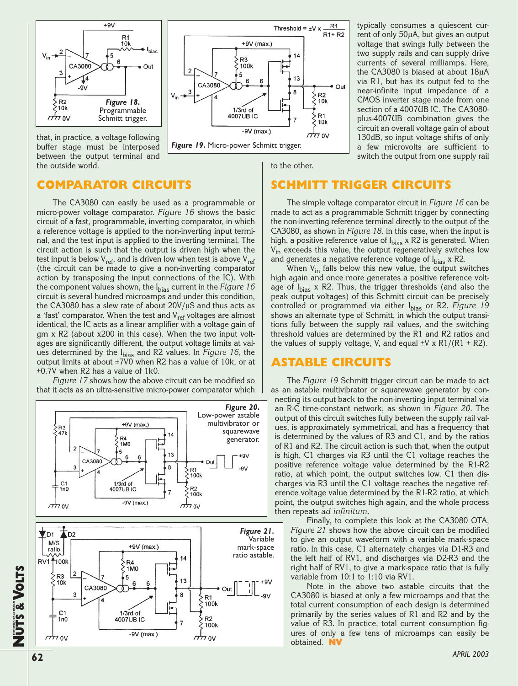

that, in practice, a voltage following buffer stage must be interposed between the output terminal and

the outside world.

 $R1$ Threshold =  $\pm$ V x  $R1+R2$ +9V (max.)  $14$ R<sub>3</sub> 100k  $\overline{2}$ 5 13 6 CA3080  $\bullet$  Out 8  $\begin{array}{c} \n\searrow R2 \\ \n\searrow 10k \n\end{array}$  $10k$  $1/3<sub>rd</sub>$  of  $R<sub>1</sub>$ 4007UB IC  $10k$  $-9V$  (max.) אט גללד *Figure 19***.** Micro-power Schmitt trigger.

to the other.

typically consumes a quiescent current of only 50µA, but gives an output voltage that swings fully between the two supply rails and can supply drive currents of several milliamps. Here, the CA3080 is biased at about 18µA via R1, but has its output fed to the near-infinite input impedance of a CMOS inverter stage made from one section of a 4007UB IC. The CA3080 plus-4007UB combination gives the circuit an overall voltage gain of about 130dB, so input voltage shifts of only a few microvolts are sufficient to switch the output from one supply rail

**COMPARATOR CIRCUITS**

The CA3080 can easily be used as a programmable or micro-power voltage comparator. *Figure 16* shows the basic circuit of a fast, programmable, inverting comparator, in which a reference voltage is applied to the non-inverting input terminal, and the test input is applied to the inverting terminal. The circuit action is such that the output is driven high when the test input is below  $V_{ref}$ , and is driven low when test is above  $V_{ref}$ (the circuit can be made to give a non-inverting comparator action by transposing the input connections of the IC). With the component values shown, the I<sub>bias</sub> current in the *Figure 16* circuit is several hundred microamps and under this condition, the CA3080 has a slew rate of about  $20V/\mu S$  and thus acts as a 'fast' comparator. When the test and  $V_{ref}$  voltages are almost identical, the IC acts as a linear amplifier with a voltage gain of gm x R2 (about x200 in this case). When the two input voltages are significantly different, the output voltage limits at values determined by the Ibias and R2 values. In *Figure 16*, the output limits at about ±7V0 when R2 has a value of 10k, or at ±0.7V when R2 has a value of 1k0.

*Figure 17* shows how the above circuit can be modified so that it acts as an ultra-sensitive micro-power comparator which



**SCHMITT TRIGGER CIRCUITS**

The simple voltage comparator circuit in *Figure 16* can be made to act as a programmable Schmitt trigger by connecting the non-inverting reference terminal directly to the output of the CA3080, as shown in *Figure 18*. In this case, when the input is high, a positive reference value of  $I_{bias}$  x R2 is generated. When V<sub>in</sub> exceeds this value, the output regeneratively switches low and generates a negative reference voltage of  $I_{bias}$  x R2.

When  $V_{in}$  falls below this new value, the output switches high again and once more generates a positive reference voltage of  $I_{bias}$  x R2. Thus, the trigger thresholds (and also the peak output voltages) of this Schmitt circuit can be precisely controlled or programmed via either I<sub>bias</sub> or R2. *Figure 19* shows an alternate type of Schmitt, in which the output transitions fully between the supply rail values, and the switching threshold values are determined by the R1 and R2 ratios and the values of supply voltage, V, and equal  $\pm$ V x R1/(R1 + R2).

# **ASTABLE CIRCUITS**

The *Figure 19* Schmitt trigger circuit can be made to act as an astable multivibrator or squarewave generator by connecting its output back to the non-inverting input terminal via an R-C time-constant network, as shown in *Figure 20*. The output of this circuit switches fully between the supply rail values, is approximately symmetrical, and has a frequency that is determined by the values of R3 and C1, and by the ratios of R1 and R2. The circuit action is such that, when the output is high, C1 charges via R3 until the C1 voltage reaches the positive reference voltage value determined by the R1-R2 ratio, at which point, the output switches low. C1 then discharges via R3 until the C1 voltage reaches the negative reference voltage value determined by the R1-R2 ratio, at which point, the output switches high again, and the whole process then repeats *ad infinitum*.

Finally, to complete this look at the CA3080 OTA, *Figure 21* shows how the above circuit can be modified to give an output waveform with a variable mark-space ratio. In this case, C1 alternately charges via D1-R3 and the left half of RV1, and discharges via D2-R3 and the right half of RV1, to give a mark-space ratio that is fully variable from 10:1 to 1:10 via RV1.

Note in the above two astable circuits that the CA3080 is biased at only a few microamps and that the total current consumption of each design is determined primarily by the series values of R1 and R2 and by the value of R3. In practice, total current consumption figures of only a few tens of microamps can easily be obtained.

**NUTS &**

**Everything For Electronics**

**VOLTS**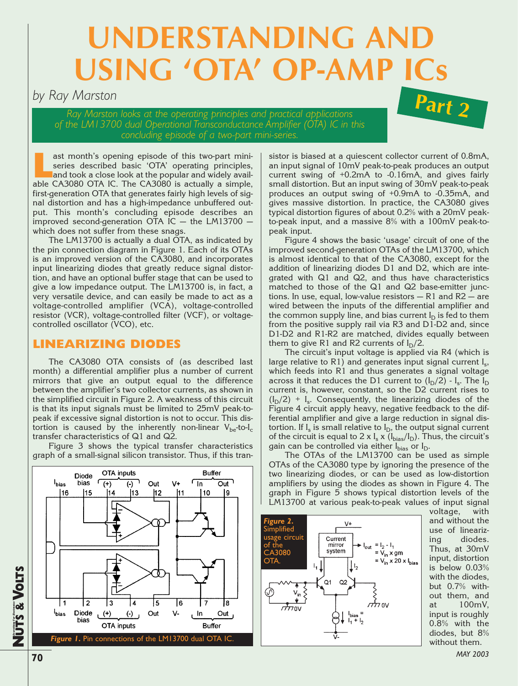# UNDERSTANDING AND **USING 'OTA' OP-AM**

# *by Ray Marston*

*Ray Marston looks at the operating principles and practical applications of the LM13700 dual Operational Transconductance Amplifier (OTA) IC in this concluding episode of a two-part mini-series.*



ast month's opening episode of this two-part mini-<br>series described basic 'OTA' operating principles,<br>and took a close look at the popular and widely avail-<br>able CA3080 OTA IC The CA3080 is actually a simple series described basic 'OTA' operating principles, and took a close look at the popular and widely available CA3080 OTA IC. The CA3080 is actually a simple, first-generation OTA that generates fairly high levels of signal distortion and has a high-impedance unbuffered output. This month's concluding episode describes an improved second-generation OTA IC  $-$  the LM13700  $$ which does not suffer from these snags.

The LM13700 is actually a dual OTA, as indicated by the pin connection diagram in Figure 1. Each of its OTAs is an improved version of the CA3080, and incorporates input linearizing diodes that greatly reduce signal distortion, and have an optional buffer stage that can be used to give a low impedance output. The LM13700 is, in fact, a very versatile device, and can easily be made to act as a voltage-controlled amplifier (VCA), voltage-controlled resistor (VCR), voltage-controlled filter (VCF), or voltagecontrolled oscillator (VCO), etc.

# **LINEARIZING DIODES**

The CA3080 OTA consists of (as described last month) a differential amplifier plus a number of current mirrors that give an output equal to the difference between the amplifier's two collector currents, as shown in the simplified circuit in Figure 2. A weakness of this circuit is that its input signals must be limited to 25mV peak-topeak if excessive signal distortion is not to occur. This distortion is caused by the inherently non-linear  $V_{be}$ -to-I<sub>c</sub> transfer characteristics of Q1 and Q2.

Figure 3 shows the typical transfer characteristics graph of a small-signal silicon transistor. Thus, if this tran-



sistor is biased at a quiescent collector current of 0.8mA, an input signal of 10mV peak-to-peak produces an output current swing of +0.2mA to -0.16mA, and gives fairly small distortion. But an input swing of 30mV peak-to-peak produces an output swing of +0.9mA to -0.35mA, and gives massive distortion. In practice, the CA3080 gives typical distortion figures of about 0.2% with a 20mV peakto-peak input, and a massive 8% with a 100mV peak-topeak input.

Figure 4 shows the basic 'usage' circuit of one of the improved second-generation OTAs of the LM13700, which is almost identical to that of the CA3080, except for the addition of linearizing diodes D1 and D2, which are integrated with Q1 and Q2, and thus have characteristics matched to those of the Q1 and Q2 base-emitter junctions. In use, equal, low-value resistors — R1 and R2 — are wired between the inputs of the differential amplifier and the common supply line, and bias current  $I_D$  is fed to them from the positive supply rail via R3 and D1-D2 and, since D1-D2 and R1-R2 are matched, divides equally between them to give R1 and R2 currents of  $I_D/2$ .

The circuit's input voltage is applied via R4 (which is large relative to R1) and generates input signal current  $I_s$ , which feeds into R1 and thus generates a signal voltage across it that reduces the D1 current to  $(I_D/2)$  -  $I_s$ . The  $I_D$ current is, however, constant, so the D2 current rises to  $(I_D/2)$  + I<sub>s</sub>. Consequently, the linearizing diodes of the Figure 4 circuit apply heavy, negative feedback to the differential amplifier and give a large reduction in signal distortion. If  $I_s$  is small relative to  $I_D$ , the output signal current of the circuit is equal to 2 x  $I_s$  x ( $I_{bias}/I_D$ ). Thus, the circuit's gain can be controlled via either  $I_{bias}$  or  $I_D$ .

The OTAs of the LM13700 can be used as simple OTAs of the CA3080 type by ignoring the presence of the two linearizing diodes, or can be used as low-distortion amplifiers by using the diodes as shown in Figure 4. The graph in Figure 5 shows typical distortion levels of the LM13700 at various peak-to-peak values of input signal



voltage, with and without the use of linearizing diodes. Thus, at 30mV input, distortion is below 0.03% with the diodes, but 0.7% without them, and at 100mV, input is roughly 0.8% with the diodes, but 8% without them.

**VOLTS**

**Everything For Electronics**

**70**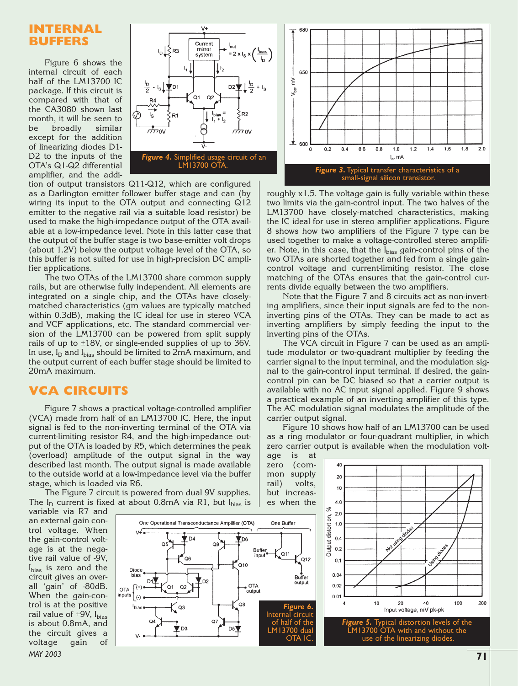## **INTERNAL BUFFERS**

Figure 6 shows the internal circuit of each half of the LM13700 IC package. If this circuit is compared with that of the CA3080 shown last month, it will be seen to be broadly similar except for the addition of linearizing diodes D1- D2 to the inputs of the OTA's Q1-Q2 differential amplifier, and the addi-



tion of output transistors Q11-Q12, which are configured as a Darlington emitter follower buffer stage and can (by wiring its input to the OTA output and connecting Q12 emitter to the negative rail via a suitable load resistor) be used to make the high-impedance output of the OTA available at a low-impedance level. Note in this latter case that the output of the buffer stage is two base-emitter volt drops (about 1.2V) below the output voltage level of the OTA, so this buffer is not suited for use in high-precision DC amplifier applications.

The two OTAs of the LM13700 share common supply rails, but are otherwise fully independent. All elements are integrated on a single chip, and the OTAs have closelymatched characteristics (gm values are typically matched within 0.3dB), making the IC ideal for use in stereo VCA and VCF applications, etc. The standard commercial version of the LM13700 can be powered from split supply rails of up to ±18V, or single-ended supplies of up to 36V. In use,  $I_D$  and  $I_{bias}$  should be limited to 2mA maximum, and the output current of each buffer stage should be limited to 20mA maximum.

## **VCA CIRCUITS**

Figure 7 shows a practical voltage-controlled amplifier (VCA) made from half of an LM13700 IC. Here, the input signal is fed to the non-inverting terminal of the OTA via current-limiting resistor R4, and the high-impedance output of the OTA is loaded by R5, which determines the peak (overload) amplitude of the output signal in the way described last month. The output signal is made available to the outside world at a low-impedance level via the buffer stage, which is loaded via R6.

The Figure 7 circuit is powered from dual 9V supplies. The  $I_D$  current is fixed at about 0.8mA via R1, but  $I_{bias}$  is

variable via R7 and an external gain control voltage. When the gain-control voltage is at the negative rail value of -9V, I<sub>bias</sub> is zero and the circuit gives an overall 'gain' of -80dB. When the gain-control is at the positive rail value of  $+9V$ ,  $I_{bias}$ is about 0.8mA, and the circuit gives a voltage gain of *MAY 2003* **71**





roughly x1.5. The voltage gain is fully variable within these two limits via the gain-control input. The two halves of the LM13700 have closely-matched characteristics, making the IC ideal for use in stereo amplifier applications. Figure 8 shows how two amplifiers of the Figure 7 type can be used together to make a voltage-controlled stereo amplifier. Note, in this case, that the Ibias gain-control pins of the two OTAs are shorted together and fed from a single gaincontrol voltage and current-limiting resistor. The close matching of the OTAs ensures that the gain-control currents divide equally between the two amplifiers.

Note that the Figure 7 and 8 circuits act as non-inverting amplifiers, since their input signals are fed to the noninverting pins of the OTAs. They can be made to act as inverting amplifiers by simply feeding the input to the inverting pins of the OTAs.

The VCA circuit in Figure 7 can be used as an amplitude modulator or two-quadrant multiplier by feeding the carrier signal to the input terminal, and the modulation signal to the gain-control input terminal. If desired, the gaincontrol pin can be DC biased so that a carrier output is available with no AC input signal applied. Figure 9 shows a practical example of an inverting amplifier of this type. The AC modulation signal modulates the amplitude of the carrier output signal.

Figure 10 shows how half of an LM13700 can be used as a ring modulator or four-quadrant multiplier, in which zero carrier output is available when the modulation voltage is at

zero (common supply rail) volts, but increases when the

40  $20$ 10  $4.0$ ×,  $2.0$ Output distortion,  $1.0$  $0.4$  $0.2$  $0.1$  $0.04$  $0.02$  $0.01$ 10 20 100 200 Input voltage, mV pk-pk *Figure 5.* Typical distortion levels of the LM13700 OTA with and without the use of the linearizing diodes.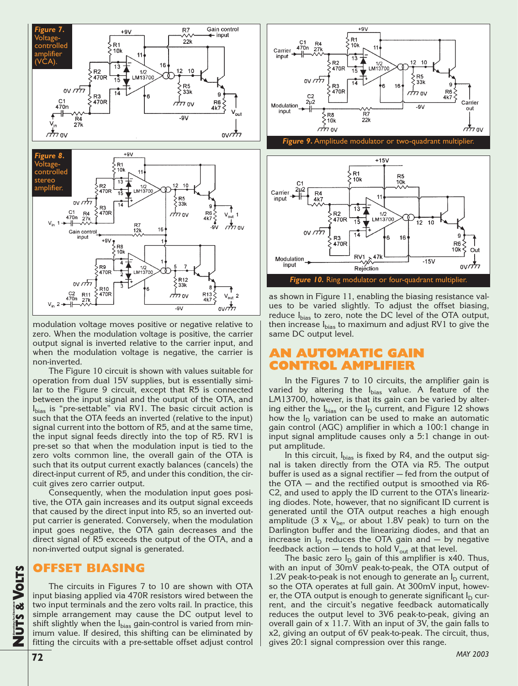

modulation voltage moves positive or negative relative to zero. When the modulation voltage is positive, the carrier output signal is inverted relative to the carrier input, and when the modulation voltage is negative, the carrier is non-inverted.

The Figure 10 circuit is shown with values suitable for operation from dual 15V supplies, but is essentially similar to the Figure 9 circuit, except that R5 is connected between the input signal and the output of the OTA, and Ibias is "pre-settable" via RV1. The basic circuit action is such that the OTA feeds an inverted (relative to the input) signal current into the bottom of R5, and at the same time, the input signal feeds directly into the top of R5. RV1 is pre-set so that when the modulation input is tied to the zero volts common line, the overall gain of the OTA is such that its output current exactly balances (cancels) the direct-input current of R5, and under this condition, the circuit gives zero carrier output.

Consequently, when the modulation input goes positive, the OTA gain increases and its output signal exceeds that caused by the direct input into R5, so an inverted output carrier is generated. Conversely, when the modulation input goes negative, the OTA gain decreases and the direct signal of R5 exceeds the output of the OTA, and a non-inverted output signal is generated.

#### **OFFSET BIASING**

The circuits in Figures 7 to 10 are shown with OTA input biasing applied via 470R resistors wired between the two input terminals and the zero volts rail. In practice, this simple arrangement may cause the DC output level to shift slightly when the  $I_{bias}$  gain-control is varied from minimum value. If desired, this shifting can be eliminated by fitting the circuits with a pre-settable offset adjust control





as shown in Figure 11, enabling the biasing resistance values to be varied slightly. To adjust the offset biasing, reduce I<sub>bias</sub> to zero, note the DC level of the OTA output, then increase I<sub>bias</sub> to maximum and adjust RV1 to give the same DC output level.

# **AN AUTOMATIC GAIN CONTROL AMPLIFIER**

In the Figures 7 to 10 circuits, the amplifier gain is varied by altering the  $I_{bias}$  value. A feature of the LM13700, however, is that its gain can be varied by altering either the  $I_{bias}$  or the  $I_D$  current, and Figure 12 shows how the  $I_D$  variation can be used to make an automatic gain control (AGC) amplifier in which a 100:1 change in input signal amplitude causes only a 5:1 change in output amplitude.

In this circuit,  $I_{bias}$  is fixed by R4, and the output signal is taken directly from the OTA via R5. The output buffer is used as a signal rectifier — fed from the output of the OTA — and the rectified output is smoothed via R6- C2, and used to apply the ID current to the OTA's linearizing diodes. Note, however, that no significant ID current is generated until the OTA output reaches a high enough amplitude (3 x  $V_{be}$ , or about 1.8V peak) to turn on the Darlington buffer and the linearizing diodes, and that an increase in  $I_D$  reduces the OTA gain and  $-$  by negative feedback action  $-$  tends to hold  $V_{out}$  at that level.

The basic zero  $I_D$  gain of this amplifier is x40. Thus, with an input of 30mV peak-to-peak, the OTA output of 1.2V peak-to-peak is not enough to generate an  $I_D$  current, so the OTA operates at full gain. At 300mV input, however, the OTA output is enough to generate significant  $I_D$  current, and the circuit's negative feedback automatically reduces the output level to 3V6 peak-to-peak, giving an overall gain of x 11.7. With an input of 3V, the gain falls to x2, giving an output of 6V peak-to-peak. The circuit, thus, gives 20:1 signal compression over this range.

**Everything For Electronics**

**VOLTS**

**72**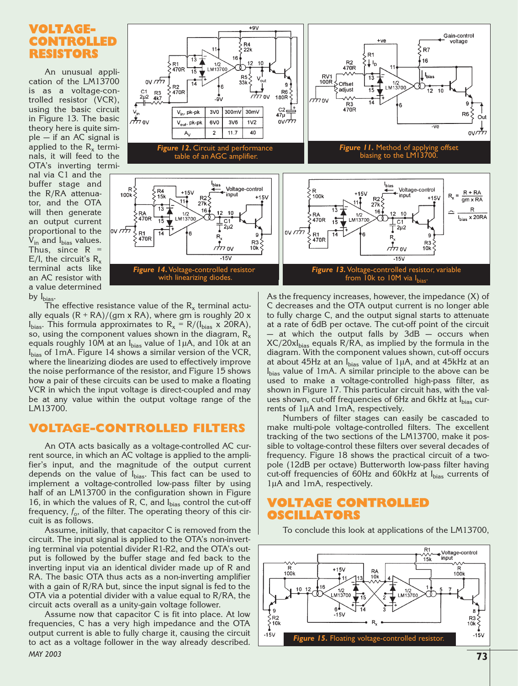# **VOLTAGE-CONTROLLED RESISTORS**

An unusual application of the LM13700 is as a voltage-controlled resistor (VCR), using the basic circuit in Figure 13. The basic theory here is quite simple — if an AC signal is applied to the  $R_x$  terminals, it will feed to the OTA's inverting terminal via C1 and the buffer stage and the R/RA attenuator, and the OTA will then generate an output current proportional to the  $V_{in}$  and  $I_{bias}$  values. Thus, since  $R =$ E/I, the circuit's  $R_x$ terminal acts like an AC resistor with a value determined by  $I_{bias}$ .



The effective resistance value of the  $R_x$  terminal actually equals  $(R + RA)/(qm \times RA)$ , where gm is roughly 20 x  $I_{bias}$ . This formula approximates to  $R_x = R/(I_{bias} \times 20RA)$ , so, using the component values shown in the diagram,  $R_x$ equals roughly 10M at an  $I_{bias}$  value of 1µA, and 10k at an Ibias of 1mA. Figure 14 shows a similar version of the VCR, where the linearizing diodes are used to effectively improve the noise performance of the resistor, and Figure 15 shows how a pair of these circuits can be used to make a floating VCR in which the input voltage is direct-coupled and may be at any value within the output voltage range of the LM13700.

#### **VOLTAGE-CONTROLLED FILTERS**

An OTA acts basically as a voltage-controlled AC current source, in which an AC voltage is applied to the amplifier's input, and the magnitude of the output current depends on the value of  $I_{bias}$ . This fact can be used to implement a voltage-controlled low-pass filter by using half of an LM13700 in the configuration shown in Figure 16, in which the values of R, C, and  $I_{bias}$  control the cut-off frequency,  $f_0$ , of the filter. The operating theory of this circuit is as follows.

Assume, initially, that capacitor C is removed from the circuit. The input signal is applied to the OTA's non-inverting terminal via potential divider R1-R2, and the OTA's output is followed by the buffer stage and fed back to the inverting input via an identical divider made up of R and RA. The basic OTA thus acts as a non-inverting amplifier with a gain of R/RA but, since the input signal is fed to the OTA via a potential divider with a value equal to R/RA, the circuit acts overall as a unity-gain voltage follower.

Assume now that capacitor C is fit into place. At low frequencies, C has a very high impedance and the OTA output current is able to fully charge it, causing the circuit to act as a voltage follower in the way already described. *MAY 2003* **73**

As the frequency increases, however, the impedance (X) of C decreases and the OTA output current is no longer able to fully charge C, and the output signal starts to attenuate at a rate of 6dB per octave. The cut-off point of the circuit at which the output falls by  $3dB$  – occurs when  $XC/20xI<sub>bias</sub>$  equals  $R/RA$ , as implied by the formula in the diagram. With the component values shown, cut-off occurs at about 45Hz at an  $I_{bias}$  value of 1 $\mu$ A, and at 45kHz at an I<sub>bias</sub> value of 1mA. A similar principle to the above can be used to make a voltage-controlled high-pass filter, as shown in Figure 17. This particular circuit has, with the values shown, cut-off frequencies of 6Hz and 6kHz at  $I_{bias}$  currents of 1µA and 1mA, respectively.

Numbers of filter stages can easily be cascaded to make multi-pole voltage-controlled filters. The excellent tracking of the two sections of the LM13700, make it possible to voltage-control these filters over several decades of frequency. Figure 18 shows the practical circuit of a twopole (12dB per octave) Butterworth low-pass filter having cut-off frequencies of 60Hz and 60kHz at Ibias currents of 1µA and 1mA, respectively.

# **VOLTAGE CONTROLLED OSCILLATORS**



To conclude this look at applications of the LM13700,